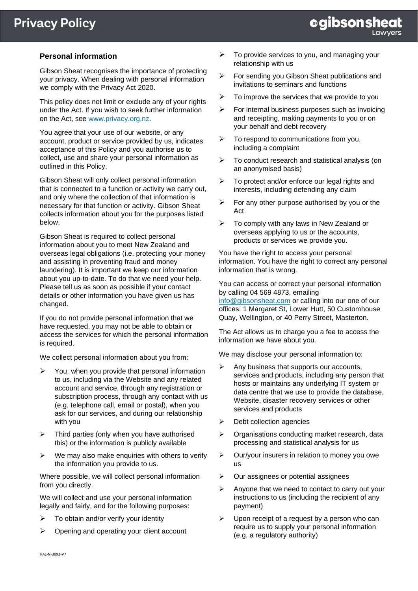# **Personal information**

Gibson Sheat recognises the importance of protecting your privacy. When dealing with personal information we comply with the Privacy Act 2020.

This policy does not limit or exclude any of your rights under the Act. If you wish to seek further information on the Act, see [www.privacy.org.nz.](http://www.privacy.org.nz/)

You agree that your use of our website, or any account, product or service provided by us, indicates acceptance of this Policy and you authorise us to collect, use and share your personal information as outlined in this Policy.

Gibson Sheat will only collect personal information that is connected to a function or activity we carry out, and only where the collection of that information is necessary for that function or activity. Gibson Sheat collects information about you for the purposes listed below.

Gibson Sheat is required to collect personal information about you to meet New Zealand and overseas legal obligations (i.e. protecting your money and assisting in preventing fraud and money laundering). It is important we keep our information about you up-to-date. To do that we need your help. Please tell us as soon as possible if your contact details or other information you have given us has changed.

If you do not provide personal information that we have requested, you may not be able to obtain or access the services for which the personal information is required.

We collect personal information about you from:

- $\triangleright$  You, when you provide that personal information to us, including via the Website and any related account and service, through any registration or subscription process, through any contact with us (e.g. telephone call, email or postal), when you ask for our services, and during our relationship with you
- $\triangleright$  Third parties (only when you have authorised this) or the information is publicly available
- $\triangleright$  We may also make enquiries with others to verify the information you provide to us.

Where possible, we will collect personal information from you directly.

We will collect and use your personal information legally and fairly, and for the following purposes:

- ➢ To obtain and/or verify your identity
- ➢ Opening and operating your client account
- $\triangleright$  To provide services to you, and managing your relationship with us
- ➢ For sending you Gibson Sheat publications and invitations to seminars and functions
- $\triangleright$  To improve the services that we provide to you
- $\triangleright$  For internal business purposes such as invoicing and receipting, making payments to you or on your behalf and debt recovery
- $\triangleright$  To respond to communications from you. including a complaint
- ➢ To conduct research and statistical analysis (on an anonymised basis)
- $\triangleright$  To protect and/or enforce our legal rights and interests, including defending any claim
- $\triangleright$  For any other purpose authorised by you or the Act
- $\triangleright$  To comply with any laws in New Zealand or overseas applying to us or the accounts, products or services we provide you.

You have the right to access your personal information. You have the right to correct any personal information that is wrong.

You can access or correct your personal information by calling 04 569 4873, emailing

<info@gibsonsheat.com> or calling into our one of our offices; 1 Margaret St, Lower Hutt, 50 Customhouse Quay, Wellington, or 40 Perry Street, Masterton.

The Act allows us to charge you a fee to access the information we have about you.

We may disclose your personal information to:

- $\triangleright$  Any business that supports our accounts, services and products, including any person that hosts or maintains any underlying IT system or data centre that we use to provide the database, Website, disaster recovery services or other services and products
- ➢ Debt collection agencies
- ➢ Organisations conducting market research, data processing and statistical analysis for us
- ➢ Our/your insurers in relation to money you owe us
- ➢ Our assignees or potential assignees
- $\triangleright$  Anyone that we need to contact to carry out your instructions to us (including the recipient of any payment)
- $\triangleright$  Upon receipt of a request by a person who can require us to supply your personal information (e.g. a regulatory authority)